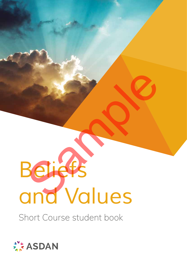# *Beliefs and Values* Beliefs<br>Beliefs<br>Ind Values

Short Course student book

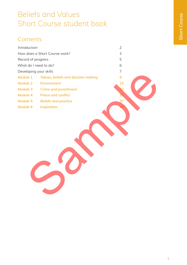# Beliefs and Values Short Course student book

# **Contents**

| 3<br>How does a Short Course work?<br>5<br>Record of progress<br>What do I need to do?<br>6<br>Developing your skills<br>$\overline{7}$<br>Module 1<br>9<br>Values, beliefs and decision making<br>Module 2<br><b>Environment</b><br>15<br>Module 3<br><b>Crime and punishment</b><br>Module 4<br><b>Peace and conflict</b><br>31<br>Module 5<br>37<br><b>Beliefs and practice</b><br>Module 6<br>Inspiration |  |
|---------------------------------------------------------------------------------------------------------------------------------------------------------------------------------------------------------------------------------------------------------------------------------------------------------------------------------------------------------------------------------------------------------------|--|
|                                                                                                                                                                                                                                                                                                                                                                                                               |  |
|                                                                                                                                                                                                                                                                                                                                                                                                               |  |
|                                                                                                                                                                                                                                                                                                                                                                                                               |  |
|                                                                                                                                                                                                                                                                                                                                                                                                               |  |
|                                                                                                                                                                                                                                                                                                                                                                                                               |  |
|                                                                                                                                                                                                                                                                                                                                                                                                               |  |
|                                                                                                                                                                                                                                                                                                                                                                                                               |  |
|                                                                                                                                                                                                                                                                                                                                                                                                               |  |
|                                                                                                                                                                                                                                                                                                                                                                                                               |  |
|                                                                                                                                                                                                                                                                                                                                                                                                               |  |
|                                                                                                                                                                                                                                                                                                                                                                                                               |  |
|                                                                                                                                                                                                                                                                                                                                                                                                               |  |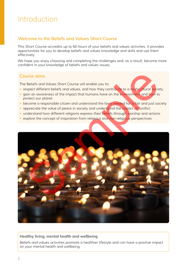# Introduction

# **Welcome to the Beliefs and Values Short Course**

This Short Course accredits up to 60 hours of your beliefs and values activities. It provides opportunities for you to develop beliefs and values knowledge and skills and use them effectively.

We hope you enjoy choosing and completing the challenges and, as a result, become more confident in your knowledge of beliefs and values issues.

# **Course aims**

The Beliefs and Values Short Course will enable you to:

- respect different beliefs and values, and how they contribute to a multicultural society
- gain an awareness of the impact that humans have on the environment and how to protect our planet
- become a responsible citizen and understand the laws needed for a fair and just society
- appreciate the value of peace in society and understand the impact of conflict
- understand how different religions express their beliefs through worship and actions
- explore the concept of inspiration from religious and non-religious perspectives



## **Healthy living, mental health and wellbeing**

Beliefs and values activities promote a healthier lifestyle and can have a positive impact on your mental health and wellbeing.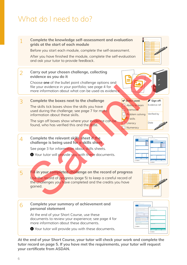# What do I need to do?



**At the end of your Short Course, your tutor will check your work and complete the tutor record on page 5. If you have met the requirements, your tutor will request your certificate from ASDAN.**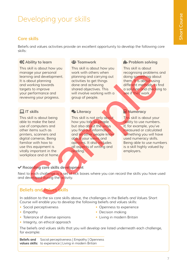# Developing your skills

# **Core skills**

Beliefs and values activities provide an excellent opportunity to develop the following core skills:

# $\mathbf{\hat{\Sigma}}^{\circ}_{\circ}$  Ability to learn

This skill is about how you manage your personal learning and development. It is about planning and working towards targets to improve your performance and reviewing your progress.

# **IT skills**

This skill is about being able to make the best use of computers and other items such as printers, scanners and digital cameras. Being familiar with how to use this equipment is vitally important in the workplace and at home.

## **2: Teamwork**

This skill is about how you work with others when planning and carrying out activities to get things done and achieving shared objectives. This will involve working with a group of people.

## **2** Literacy

This skill is not only about how you talk to people but also about the ways you find out information and let other people know about your views and opinions. It also includes all aspects of writing and reading. mang your presentation and development.<br>
and development. Polening and carrying out reduces to move and check the method of the same and continue of control of the same of control of the same of the same of the same of the

# *H*- Problem solving

This skill is about recognising problems and doing something about them. It is about using different methods to find a solution and checking to see if they work.

# **R** Numeracy

This skill is about your ability to use numbers. If, for example, you've measured or calculated something you will have used numeracy skills. Being able to use numbers is a skill highly valued by employers.

# **Recording core skills development**

Next to each challenge is a set of tick boxes where you can record the skills you have used and developed during the activity.

# **Beliefs and values skills**

In addition to the six core skills above, the challenges in the Beliefs and Values Short Course will enable you to develop the following beliefs and values skills:

- Social perceptiveness
- Empathy
- Tolerance of diverse opinions
- Integrity, an ethical approach
- Openness to experience
- Decision making
- Living in modern Britain

The beliefs and values skills that you will develop are listed underneath each challenge, for example:

**Beliefs and values skills:**  to experience | Living in modern Britain Social perceptiveness | Empathy | Openness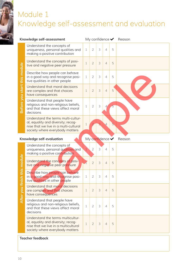# Module 1 Knowledge self-assessment and evaluation

| Knowledge self-assessment         |                                                                                                                                                      | My confidence $\blacktriangleright$ Reason |                 |               |                |   |        |
|-----------------------------------|------------------------------------------------------------------------------------------------------------------------------------------------------|--------------------------------------------|-----------------|---------------|----------------|---|--------|
|                                   | Understand the concepts of<br>uniqueness, personal qualities and<br>making a positive contribution                                                   | $\mathbf 1$                                | 2 <sup>i</sup>  | 3             | $\overline{4}$ | 5 |        |
|                                   | Understand the concepts of posi-<br>tive and negative peer pressure                                                                                  | $\mathbf{1}$                               | $\overline{2}$  | $\mathcal{S}$ | $\overline{4}$ | 5 |        |
|                                   | Describe how people can behave<br>in a good way and recognise posi-<br>tive qualities in other people                                                | $\mathbf 1$                                | $\overline{2}$  | 3             | $\overline{4}$ | 5 |        |
| Before you start this module      | Understand that moral decisions<br>are complex and that choices<br>have consequences                                                                 | $\mathbf 1$                                | $\overline{2}$  | $\mathcal{S}$ | $\overline{4}$ | 5 |        |
|                                   | Understand that people have<br>religious and non-religious beliefs,<br>and that these views affect moral<br>decisions                                | 1                                          | $\mathbf{2}$    | $\mathsf 3$   |                | 5 |        |
|                                   | Understand the terms multi-cultur-<br>al, equality and diversity; recog-<br>nise that we live in a multi-cultural<br>society where everybody matters | $1\,$                                      |                 |               |                | 5 |        |
| Knowledge self-evaluation         |                                                                                                                                                      | My confidence $\blacktriangledown$         |                 |               |                |   | Reason |
| module<br>this<br>After you finis | Understand the concepts of<br>uniqueness, personal qualities and<br>making a positive contribution                                                   | $\mathbf{1}$                               | $\overline{2}$  | 3             | $\overline{4}$ | 5 |        |
|                                   | Understand the concepts of posi-<br>tive and negative peer pressure                                                                                  |                                            | $\overline{2}$  | $\mathsf 3$   | $\overline{4}$ | 5 |        |
|                                   | Describe how people can behave<br>in a good way and recognise posi-<br>tive qualities in other people                                                | $\mathbf{1}$                               | $\overline{2}$  | 3             |                | 5 |        |
|                                   | Understand that moral decisions<br>are complex and that choices<br>have consequences                                                                 | $\mathbf 1$                                | $2^{\circ}$     | 3             | $\overline{4}$ | 5 |        |
|                                   |                                                                                                                                                      |                                            |                 |               |                |   |        |
|                                   | Understand that people have<br>religious and non-religious beliefs,<br>and that these views affect moral<br>decisions                                | $\mathbf 1$                                | $2\overline{ }$ | 3             | $\overline{4}$ | 5 |        |

### **Teacher feedback**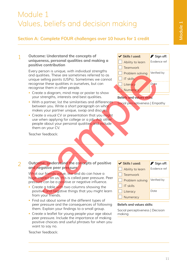# Module 1 Values, beliefs and decision making

# **Section A: Complete FOUR challenges over 10 hours for 1 credit**

### **Outcome: Understand the concepts of uniqueness, personal qualities and making a positive contribution** 1

Every person is unique, with individual strengths and qualities. These are sometimes referred to as unique selling points (USPs). Sometimes we cannot recognise these qualities in ourselves, but can recognise them in other people.

- Create a diagram, mind map or poster to show your strengths, interests and best qualities.
- With a partner, list the similarities and differences between you. Write a short paragraph on what makes your partner unique, swap and discuss.
- Create a visual CV or presentation that you might use when applying for college or a job. Ask other people about your personal qualities and include them on your CV.

Skills I used: **P**Sign off: Ability to learn Evidence ref  $\top$  Teamwork Problem solving Verified by  $\top$  IT skills Literacy Date **Numeracy** 

### **Beliefs and values skills:**

Social perceptiveness | Empathy

Teacher feedback:

### **Outcome: Understand the concepts of positive and negative peer pressure**  $\overline{\phantom{0}}$

What our friends value, like and do can have a huge impact on us; this is called peer pressure. Peer pressure can be a positive or negative influence.

- Create a table with two columns showing the positive and negative things that you might learn from your friends.
- Find out about some of the different types of peer pressure and the consequences of following them. Explain your findings to a small group.
- Create a leaflet for young people your age about peer pressure. Include the importance of making positive choices and useful phrases for when you want to say no.



### **Beliefs and values skills:**

Social perceptiveness | Decision making

Teacher feedback: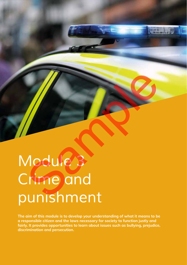# *Module 3 Crime and punishment*  Addule 3

**The aim of this module is to develop your understanding of what it means to be a responsible citizen and the laws necessary for society to function justly and fairly. It provides opportunities to learn about issues such as bullying, prejudice, discrimination and persecution.**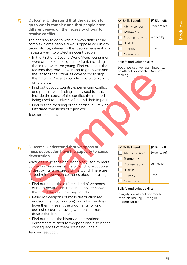**Outcome: Understand that the decision to go to war is complex and that people have different views on the necessity of war to resolve conflict** 5

> The decision to go to war is always difficult and complex. Some people always oppose war in any circumstance, whereas other people believe it is a necessary evil to protect innocent people.

- In the First and Second World Wars young men were often keen to sign up to fight, including those that were too young. Find out about the reasons they had for wanting to go to war and the reasons their families gave to try to stop them going. Present your ideas as a comic strip or role play.
- Find out about a country experiencing conflict and present your findings in a visual format. Include the cause of the conflict, the methods being used to resolve conflict and their impact.
- Find out the meaning of the phrase 'a just war'. List **three** conditions of a just war.

Teacher feedback:

Skills I used: **P**Sign off: Ability to learn Evidence ref **Teamwork** Problem solving Verified by IT skills Literacy Date **Numeracy** 

### **Beliefs and values skills:**

Social perceptiveness | Integrity, an ethical approach | Decision making

**Outcome: Understand that weapons of mass destruction have the capacity to cause devastation** 6

> Advances in science and technology lead to more dangerous weapons, some of which are capable of destroying large areas of the world. There are agreed rules between countries about not using these weapons.

- Find out about the different kind of weapons of mass destruction. Produce a poster showing them and the damage they can do.
- Research weapons of mass destruction (eg nuclear, chemical warfare) and why countries have them. Present the arguments for and against a country having weapons of mass destruction in a debate.
- Find out about the history of international agreements related to weapons and discuss the consequences of them not being upheld.

Teacher feedback:

Skills I used: **P**Sign off: Ability to learn Evidence ref **Teamwork** Problem solving Verified by IT skills Literacy Date **Numeracy** the reasons their families gave to try to stop<br>them going Present your ideas as a comic strip<br>them going Present your ideas as a comic strip<br>or or or le play.<br>The out obset consider a wisual form that<br>and pused to resolve

### **Beliefs and values skills:**

Integrity, an ethical approach | Decision making | Living in modern Britain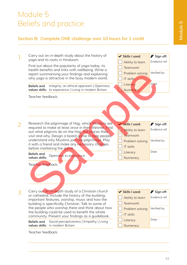# Module 5 Beliefs and practice

# **Section B: Complete ONE challenge over 10 hours for 1 credit**



Teacher feedback: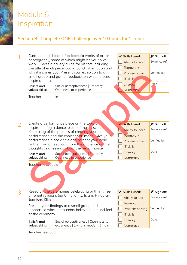# Module 6 Inspiration

# **Section B: Complete ONE challenge over 10 hours for 1 credit**

| $\mathbf 1$    | inspired them.                                            | Curate an exhibition of at least six works of art or<br>photography, some of which might be your own<br>work. Create a gallery guide for visitors including<br>the title of each piece, background information and<br>why it inspires you. Present your exhibition to a<br>small group and gather feedback on which pieces                                                                                              | ✔ Skills I used:<br>Ability to learn<br><b>Teamwork</b><br>Problem solving<br><b>IT skills</b>                         | Sign off:<br>Evidence ref<br>Verified by                               |
|----------------|-----------------------------------------------------------|-------------------------------------------------------------------------------------------------------------------------------------------------------------------------------------------------------------------------------------------------------------------------------------------------------------------------------------------------------------------------------------------------------------------------|------------------------------------------------------------------------------------------------------------------------|------------------------------------------------------------------------|
|                | <b>Beliefs and</b><br>values skills:                      | Social perceptiveness   Empathy  <br>Openness to experience                                                                                                                                                                                                                                                                                                                                                             | Literacy<br>Numeracy                                                                                                   | Date                                                                   |
|                | Teacher feedback:                                         |                                                                                                                                                                                                                                                                                                                                                                                                                         |                                                                                                                        |                                                                        |
|                |                                                           |                                                                                                                                                                                                                                                                                                                                                                                                                         |                                                                                                                        |                                                                        |
| $\overline{2}$ | <b>Beliefs and</b><br>values skills:<br>Teacher feedback: | Create a performance piece on the topic of<br>inspiration (eg a dance, piece of music, scene).<br>Keep a log of the process of creating your<br>performance and the choices you made. Give your<br>performance piece a title and present your work.<br>Gather formal feedback from the gudience on their<br>thoughts and feelings about the performance.<br>Social perceptiveness   Empathy  <br>Openness to experience | <b>V</b> Skills I used:<br>Ability to learn<br>Teamwork<br>Problem solving<br><b>IT skills</b><br>Literacy<br>Numeracy | Sign off:<br>Evidence ref<br>Verified by<br>Date                       |
|                | Judaism, Sikhism).<br>at the ceremony.                    | Research the ceremonies celebrating birth in three<br>different religions (eg Christianity, Islam, Hinduism,<br>Present your findings to a small group and<br>emphasise what the parents believe, hope and feel                                                                                                                                                                                                         | <b>V</b> Skills I used:<br>Ability to learn<br><b>Teamwork</b><br>Problem solving<br>IT skills                         | $\blacktriangleright$ Sign off:<br>Evidence ref<br>Verified by<br>Date |
|                | <b>Beliefs and</b><br>values skills:                      | Social perceptiveness   Openness to<br>experience   Living in modern Britain                                                                                                                                                                                                                                                                                                                                            | Literacy<br>Numeracy                                                                                                   |                                                                        |

Teacher feedback: